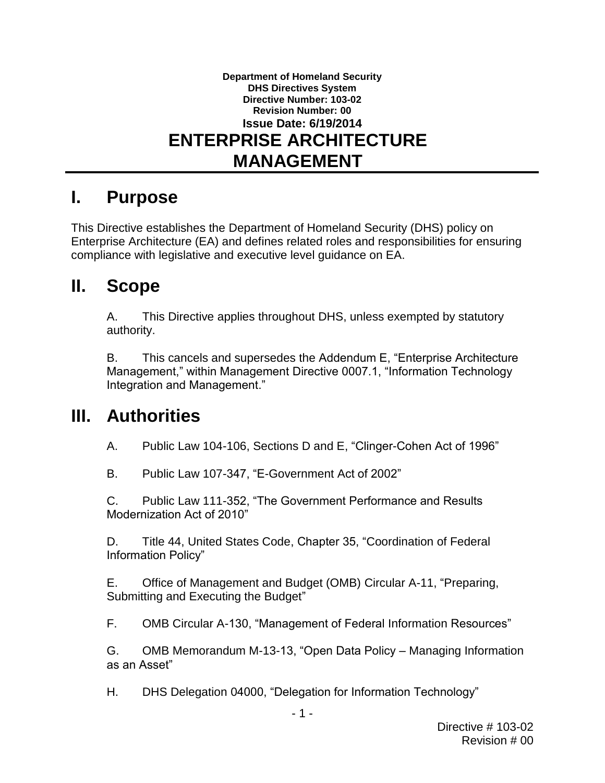### **Department of Homeland Security DHS Directives System Directive Number: 103-02 Revision Number: 00 Issue Date: 6/19/2014 ENTERPRISE ARCHITECTURE MANAGEMENT**

### **I. Purpose**

 This Directive establishes the Department of Homeland Security (DHS) policy on compliance with legislative and executive level guidance on EA. Enterprise Architecture (EA) and defines related roles and responsibilities for ensuring

#### $\mathbf{II}_{-}$ **II. Scope**

A. This Directive applies throughout DHS, unless exempted by statutory authority.

B. This cancels and supersedes the Addendum E, "Enterprise Architecture Management," within Management Directive 0007.1, "Information Technology Integration and Management."

### **III. Authorities**

A. Public Law 104-106, Sections D and E, "Clinger-Cohen Act of 1996"

B. Public Law 107-347, "E-Government Act of 2002"

C. Public Law 111-352, "The Government Performance and Results Modernization Act of 2010"

 D. Title 44, United States Code, Chapter 35, "Coordination of Federal Information Policy"

 E. Office of Management and Budget (OMB) Circular A-11, "Preparing, Submitting and Executing the Budget"

F. OMB Circular A-130, "Management of Federal Information Resources"

G. OMB Memorandum M-13-13, "Open Data Policy – Managing Information as an Asset"

H. DHS Delegation 04000, "Delegation for Information Technology"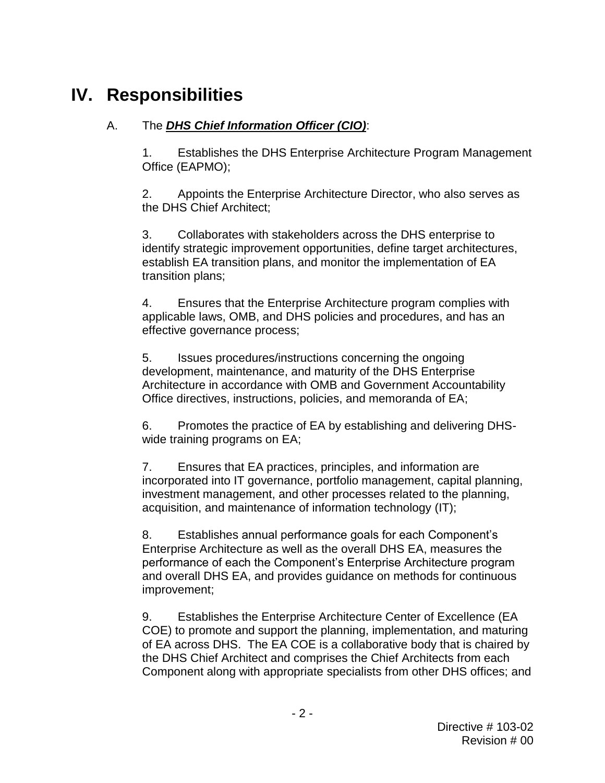# **IV. Responsibilities**

#### Α. A. The *DHS Chief Information Officer (CIO)*:

1. Establishes the DHS Enterprise Architecture Program Management Office (EAPMO);

 2. Appoints the Enterprise Architecture Director, who also serves as the DHS Chief Architect;

 3. Collaborates with stakeholders across the DHS enterprise to establish EA transition plans, and monitor the implementation of EA transition plans; identify strategic improvement opportunities, define target architectures,

 applicable laws, OMB, and DHS policies and procedures, and has an effective governance process; 4. Ensures that the Enterprise Architecture program complies with

5. development, maintenance, and maturity of the DHS Enterprise Issues procedures/instructions concerning the ongoing Architecture in accordance with OMB and Government Accountability Office directives, instructions, policies, and memoranda of EA;

6. Promotes the practice of EA by establishing and delivering DHSwide training programs on EA;

 acquisition, and maintenance of information technology (IT); 7. Ensures that EA practices, principles, and information are incorporated into IT governance, portfolio management, capital planning, investment management, and other processes related to the planning,

 Enterprise Architecture as well as the overall DHS EA, measures the and overall DHS EA, and provides guidance on methods for continuous 8. Establishes annual performance goals for each Component's performance of each the Component's Enterprise Architecture program improvement;

 COE) to promote and support the planning, implementation, and maturing of EA across DHS. The EA COE is a collaborative body that is chaired by the DHS Chief Architect and comprises the Chief Architects from each 9. Establishes the Enterprise Architecture Center of Excellence (EA Component along with appropriate specialists from other DHS offices; and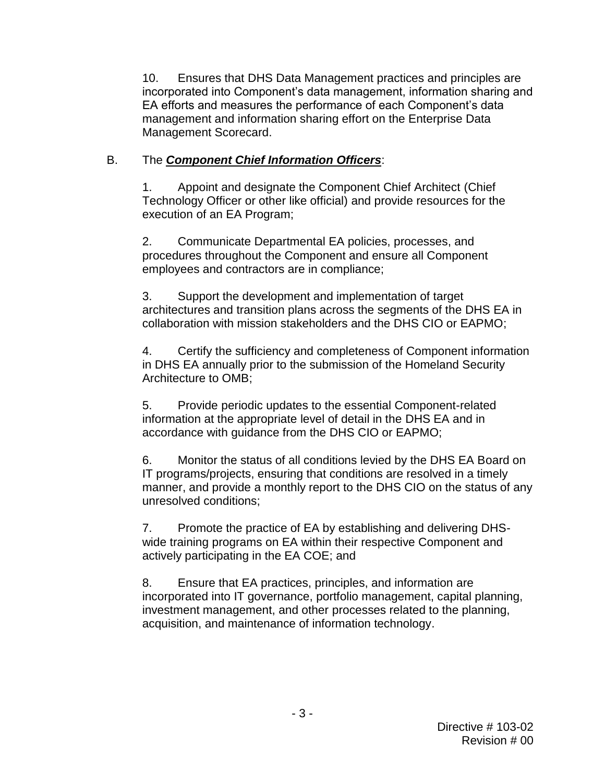10. Ensures that DHS Data Management practices and principles are incorporated into Component's data management, information sharing and EA efforts and measures the performance of each Component's data management and information sharing effort on the Enterprise Data Management Scorecard.

#### **B.** B. The *Component Chief Information Officers*:

 1. Appoint and designate the Component Chief Architect (Chief Technology Officer or other like official) and provide resources for the execution of an EA Program;

2. Communicate Departmental EA policies, processes, and procedures throughout the Component and ensure all Component employees and contractors are in compliance;

 architectures and transition plans across the segments of the DHS EA in 3. Support the development and implementation of target collaboration with mission stakeholders and the DHS CIO or EAPMO;

 in DHS EA annually prior to the submission of the Homeland Security Architecture to OMB; 4. Certify the sufficiency and completeness of Component information

 information at the appropriate level of detail in the DHS EA and in 5. Provide periodic updates to the essential Component-related accordance with guidance from the DHS CIO or EAPMO;

 IT programs/projects, ensuring that conditions are resolved in a timely 6. Monitor the status of all conditions levied by the DHS EA Board on manner, and provide a monthly report to the DHS CIO on the status of any unresolved conditions;

 7. Promote the practice of EA by establishing and delivering DHS- wide training programs on EA within their respective Component and actively participating in the EA COE; and

 investment management, and other processes related to the planning, 8. Ensure that EA practices, principles, and information are incorporated into IT governance, portfolio management, capital planning, acquisition, and maintenance of information technology.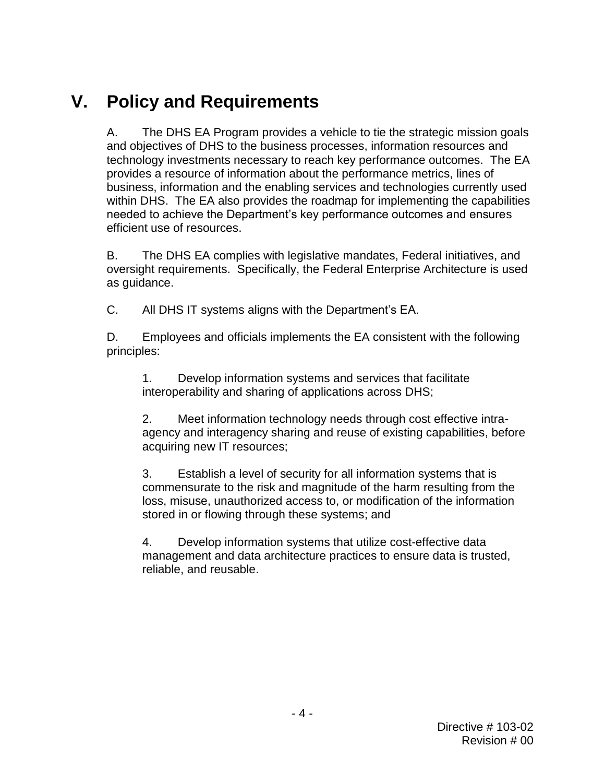# **V. Policy and Requirements**

Α. technology investments necessary to reach key performance outcomes. The EA business, information and the enabling services and technologies currently used needed to achieve the Department's key performance outcomes and ensures The DHS EA Program provides a vehicle to tie the strategic mission goals and objectives of DHS to the business processes, information resources and provides a resource of information about the performance metrics, lines of within DHS. The EA also provides the roadmap for implementing the capabilities efficient use of resources.

В. oversight requirements. Specifically, the Federal Enterprise Architecture is used The DHS EA complies with legislative mandates, Federal initiatives, and as guidance.

 $C_{\cdot}$ All DHS IT systems aligns with the Department's EA.

 D. Employees and officials implements the EA consistent with the following principles:

1. Develop information systems and services that facilitate interoperability and sharing of applications across DHS;

 acquiring new IT resources; 2. Meet information technology needs through cost effective intraagency and interagency sharing and reuse of existing capabilities, before

 3. Establish a level of security for all information systems that is commensurate to the risk and magnitude of the harm resulting from the stored in or flowing through these systems; and loss, misuse, unauthorized access to, or modification of the information

4. Develop information systems that utilize cost-effective data management and data architecture practices to ensure data is trusted, reliable, and reusable.